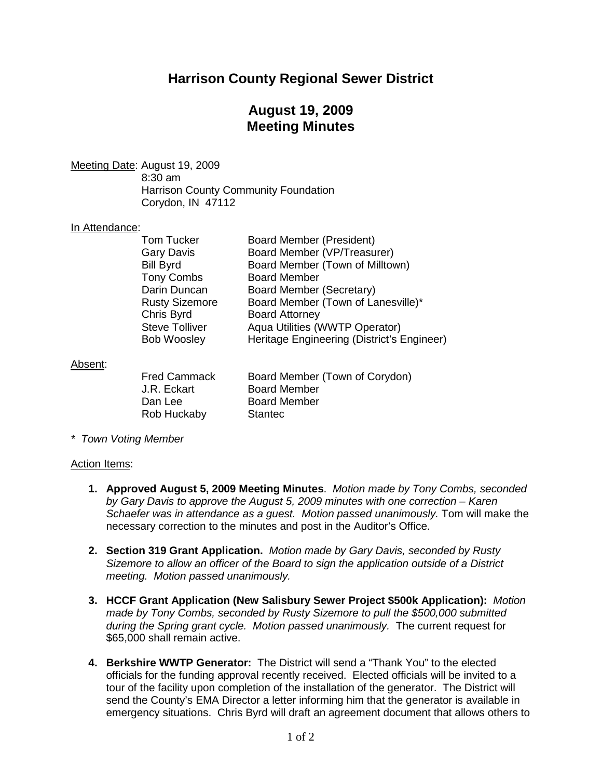# **Harrison County Regional Sewer District**

# **August 19, 2009 Meeting Minutes**

<u>Meeting Date</u>: August 19, 2009

8:30 am Harrison County Community Foundation Corydon, IN 47112

## In Attendance:

| <b>Tom Tucker</b>     | <b>Board Member (President)</b>            |
|-----------------------|--------------------------------------------|
| <b>Gary Davis</b>     | Board Member (VP/Treasurer)                |
| <b>Bill Byrd</b>      | Board Member (Town of Milltown)            |
| <b>Tony Combs</b>     | <b>Board Member</b>                        |
| Darin Duncan          | Board Member (Secretary)                   |
| <b>Rusty Sizemore</b> | Board Member (Town of Lanesville)*         |
| Chris Byrd            | <b>Board Attorney</b>                      |
| <b>Steve Tolliver</b> | Aqua Utilities (WWTP Operator)             |
| <b>Bob Woosley</b>    | Heritage Engineering (District's Engineer) |
|                       |                                            |

### Absent :

| <b>Fred Cammack</b> | Board Member (Town of Corydon) |
|---------------------|--------------------------------|
| J.R. Eckart         | <b>Board Member</b>            |
| Dan Lee             | <b>Board Member</b>            |
| Rob Huckaby         | <b>Stantec</b>                 |

*\* Town Voting Member*

#### Action Items:

- **1. Approved August 5, 2009 Meeting Minutes**. *Motion made by Tony Combs, seconded by Gary Davis to approve the August 5, 2009 minutes with one correction – Karen Schaefer was in attendance as a guest. Motion passed unanimously.* Tom will make the necessary correction to the minutes and post in the Auditor's Office.
- **2. Section 319 Grant Application.** *Motion made by Gary Davis, seconded by Rusty Sizemore to allow an officer of the Board to sign the application outside of a District meeting. Motion passed unanimously.*
- **3. HCCF Grant Application (New Salisbury Sewer Project \$500k Application):** *Motion made by Tony Combs, seconded by Rusty Sizemore to pull the \$500,000 submitted during the Spring grant cycle. Motion passed unanimously.* The current request for \$65,000 shall remain active.
- **4. Berkshire WWTP Generator:** The District will send a "Thank You" to the elected officials for the funding approval recently received. Elected officials will be invited to a tour of the facility upon completion of the installation of the generator. The District will send the County's EMA Director a letter informing him that the generator is available in emergency situations. Chris Byrd will draft an agreement document that allows others to